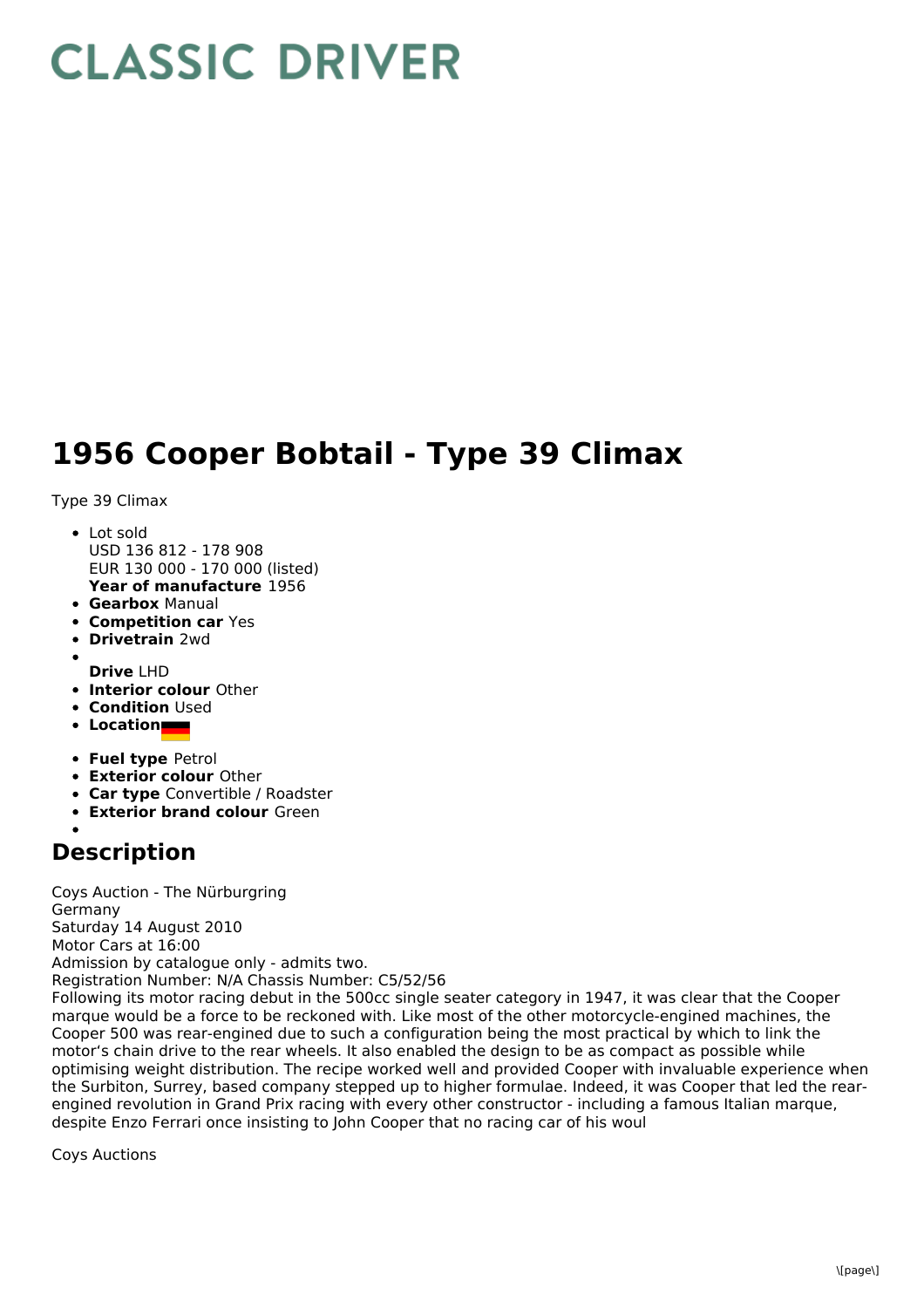## **CLASSIC DRIVER**

## **1956 Cooper Bobtail - Type 39 Climax**

Type 39 Climax

- **Year of manufacture** 1956 Lot sold USD 136 812 - 178 908 EUR 130 000 - 170 000 (listed)
- **Gearbox** Manual
- **Competition car** Yes
- **Drivetrain** 2wd
- **Drive** LHD
- **Interior colour** Other
- **Condition** Used
- **Location**
- **Fuel type** Petrol
- **Exterior colour** Other
- **Car type** Convertible / Roadster
- **Exterior brand colour** Green

## **Description**

Coys Auction - The Nürburgring Germany Saturday 14 August 2010 Motor Cars at 16:00 Admission by catalogue only - admits two. Registration Number: N/A Chassis Number: C5/52/56 Following its motor racing debut in the 500cc single seater category in 1947, it was clear that the Cooper marque would be a force to be reckoned with. Like most of the other motorcycle-engined machines, the Cooper 500 was rear-engined due to such a configuration being the most practical by which to link the motor's chain drive to the rear wheels. It also enabled the design to be as compact as possible while optimising weight distribution. The recipe worked well and provided Cooper with invaluable experience when the Surbiton, Surrey, based company stepped up to higher formulae. Indeed, it was Cooper that led the rear-

engined revolution in Grand Prix racing with every other constructor - including a famous Italian marque, despite Enzo Ferrari once insisting to John Cooper that no racing car of his woul

Coys Auctions